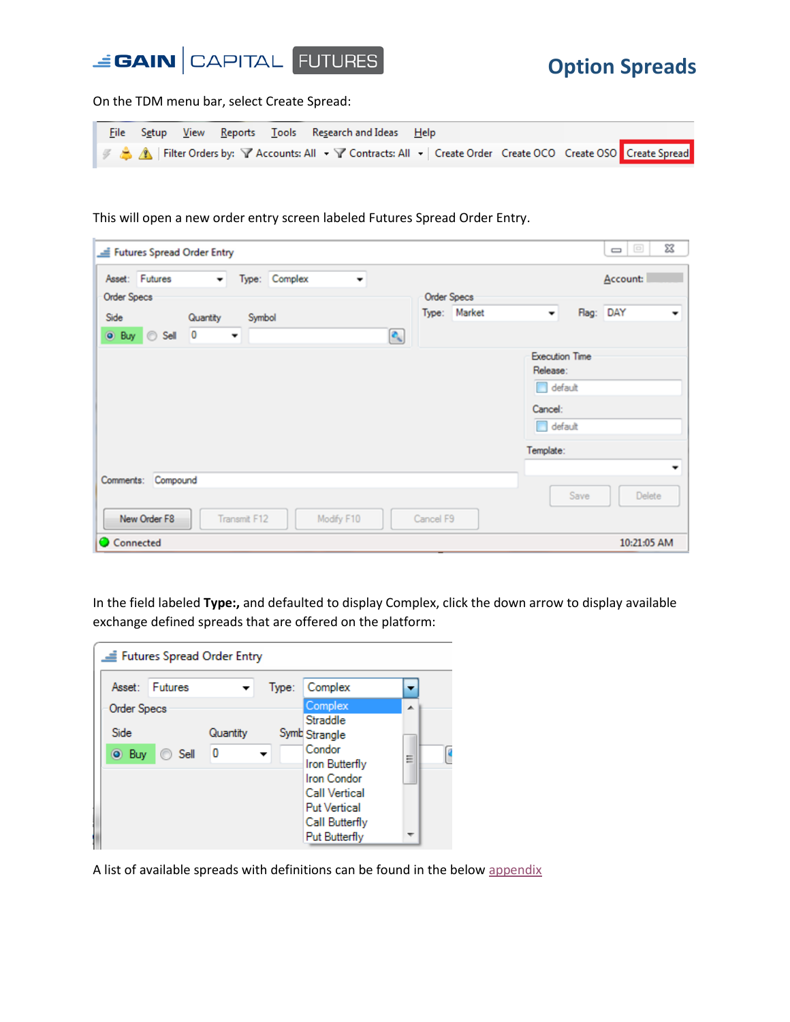

On the TDM menu bar, select Create Spread:

|  |  | - <u>F</u> ile S <u>e</u> tup <u>V</u> iew <u>R</u> eports <u>T</u> ools Re <u>s</u> earch and Ideas <u>H</u> elp I |  |  |
|--|--|---------------------------------------------------------------------------------------------------------------------|--|--|
|  |  | ■ 多 ▲ / Filter Orders by: Y Accounts: All • Y Contracts: All •   Create Order Create OCO Create OSO Create Spread   |  |  |

This will open a new order entry screen labeled Futures Spread Order Entry.

|                    |                    | Futures Spread Order Entry |                          |               |            |                         |           |                    |                                              |      | ΣŜ<br>$\qquad \qquad \Box$ |
|--------------------|--------------------|----------------------------|--------------------------|---------------|------------|-------------------------|-----------|--------------------|----------------------------------------------|------|----------------------------|
|                    | Asset: Futures     | $\overline{\phantom{a}}$   |                          | Type: Complex | ۰          |                         |           |                    |                                              |      | Account:                   |
| <b>Order Specs</b> |                    |                            |                          |               |            |                         |           | <b>Order Specs</b> |                                              |      |                            |
| Side               |                    | Quantity                   | Symbol                   |               |            |                         |           | Type: Market       | $\overline{\phantom{a}}$                     |      | Flag: DAY                  |
|                    | O Buy Sell 0       |                            | $\overline{\phantom{a}}$ |               |            | $\mathbf{c}_\mathbf{k}$ |           |                    |                                              |      |                            |
|                    |                    |                            |                          |               |            |                         |           |                    | <b>Execution Time</b><br>Release:<br>default |      |                            |
|                    |                    |                            |                          |               |            |                         |           |                    | Cancel:<br>default                           |      |                            |
|                    |                    |                            |                          |               |            |                         |           |                    | Template:                                    |      |                            |
|                    | Comments: Compound |                            |                          |               |            |                         |           |                    |                                              |      |                            |
|                    | New Order F8       |                            | Transmit F12             |               | Modify F10 |                         | Cancel F9 |                    |                                              | Save | Delete                     |
| Connected          |                    |                            |                          |               |            |                         |           |                    |                                              |      | 10:21:05 AM                |

In the field labeled **Type:,** and defaulted to display Complex, click the down arrow to display available exchange defined spreads that are offered on the platform:

|                    | Futures Spread Order Entry |          |       |                       |   |  |
|--------------------|----------------------------|----------|-------|-----------------------|---|--|
| Asset:             | Futures                    |          | Type: | Complex               |   |  |
| <b>Order Specs</b> |                            |          |       | Complex               | ᆂ |  |
|                    |                            |          |       | Straddle              |   |  |
| Side               |                            | Quantity |       | Symb Strangle         |   |  |
| <b>O</b> Buy       | ◯ Sell                     | Ω        |       | Condor                | Ξ |  |
|                    |                            |          |       | <b>Iron Butterfly</b> |   |  |
|                    |                            |          |       | <b>Iron Condor</b>    |   |  |
|                    |                            |          |       | <b>Call Vertical</b>  |   |  |
|                    |                            |          |       | <b>Put Vertical</b>   |   |  |
|                    |                            |          |       | Call Butterfly        |   |  |
|                    |                            |          |       | Put Butterfly         |   |  |

A list of available spreads with definitions can be found in the belo[w appendix](#page-7-0)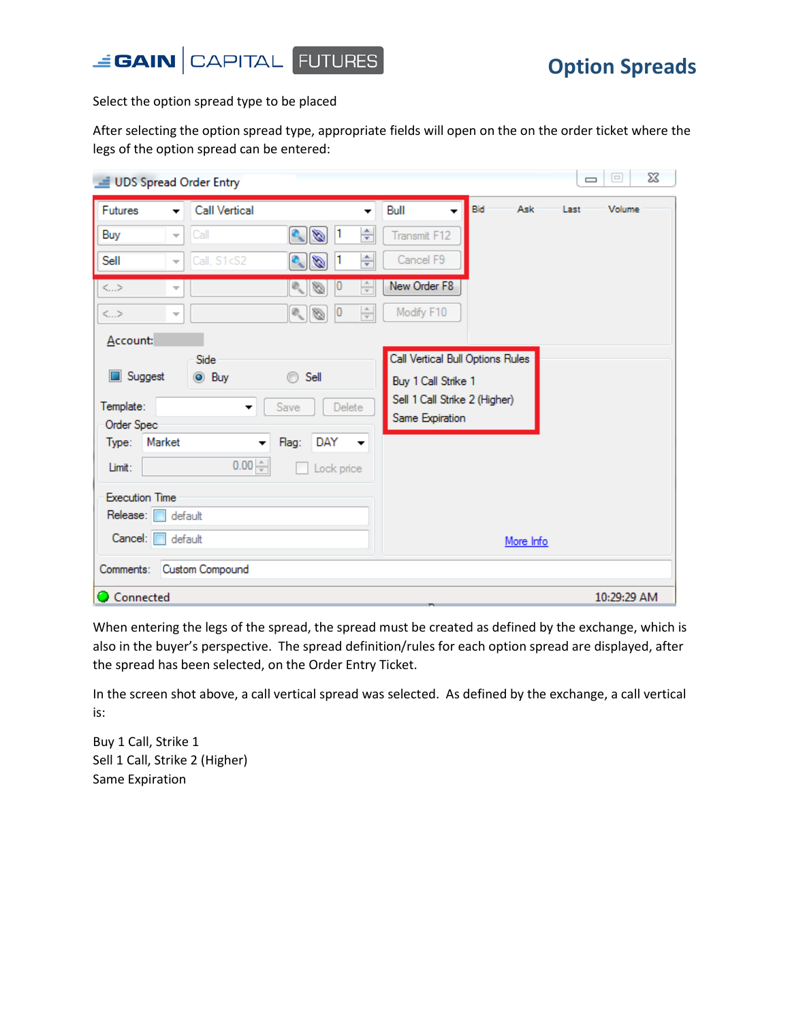



Select the option spread type to be placed

After selecting the option spread type, appropriate fields will open on the on the order ticket where the legs of the option spread can be entered:

| UDS Spread Order Entry                        |                                                                    |                                 |                                  |            | $\Sigma$<br>$\boxed{\square}$<br>$\Box$ |
|-----------------------------------------------|--------------------------------------------------------------------|---------------------------------|----------------------------------|------------|-----------------------------------------|
| <b>Futures</b><br>$\overline{\phantom{a}}$    | <b>Call Vertical</b>                                               | ▼                               | Bull                             | Bid<br>Ask | Volume<br>Last                          |
| Buy<br>$\overline{\psi}$                      | $\frac{1}{\sqrt{2}}$<br>Call                                       | ÷<br>1                          | Transmit F12                     |            |                                         |
| Sell<br>$\overline{\phantom{a}}$              | Call, S1 <s2<br>Ø<br/><math>\mathbf{c}_{\mathbf{c}}</math></s2<br> | ÷                               | Cancel F9                        |            |                                         |
| $\rm{<}$ $\rm{>}$<br>$\overline{\mathcal{M}}$ | $\mathfrak{D}_{\mathbf{q}_i}$<br>Ø                                 | ÷<br>U                          | New Order F8                     |            |                                         |
| $\rm{<}$ . $>$<br>$\overline{\mathcal{M}}$    | $\frac{1}{2}$                                                      | $\frac{\triangle}{\tau}$<br> 0  | Modify F10                       |            |                                         |
| Account:                                      |                                                                    |                                 |                                  |            |                                         |
|                                               | Side                                                               |                                 | Call Vertical Bull Options Rules |            |                                         |
| Suggest                                       | <b>O</b> Buy<br>Sell<br>⊙                                          |                                 | Buy 1 Call Strike 1              |            |                                         |
| Template:                                     | Save<br>▼                                                          | Delete                          | Sell 1 Call Strike 2 (Higher)    |            |                                         |
| Order Spec                                    |                                                                    |                                 | Same Expiration                  |            |                                         |
| Market<br>Type:                               | Flag:<br>$\overline{\phantom{a}}$                                  | DAY<br>$\overline{\phantom{a}}$ |                                  |            |                                         |
| Limit:                                        | $0.00 -$                                                           | Lock price                      |                                  |            |                                         |
| <b>Execution Time</b>                         |                                                                    |                                 |                                  |            |                                         |
| Release: I                                    | default                                                            |                                 |                                  |            |                                         |
| Cancel: [                                     | default                                                            |                                 |                                  | More Info  |                                         |
| Comments:                                     | Custom Compound                                                    |                                 |                                  |            |                                         |
| Connected                                     |                                                                    |                                 |                                  |            | 10:29:29 AM                             |

When entering the legs of the spread, the spread must be created as defined by the exchange, which is also in the buyer's perspective. The spread definition/rules for each option spread are displayed, after the spread has been selected, on the Order Entry Ticket.

In the screen shot above, a call vertical spread was selected. As defined by the exchange, a call vertical is:

Buy 1 Call, Strike 1 Sell 1 Call, Strike 2 (Higher) Same Expiration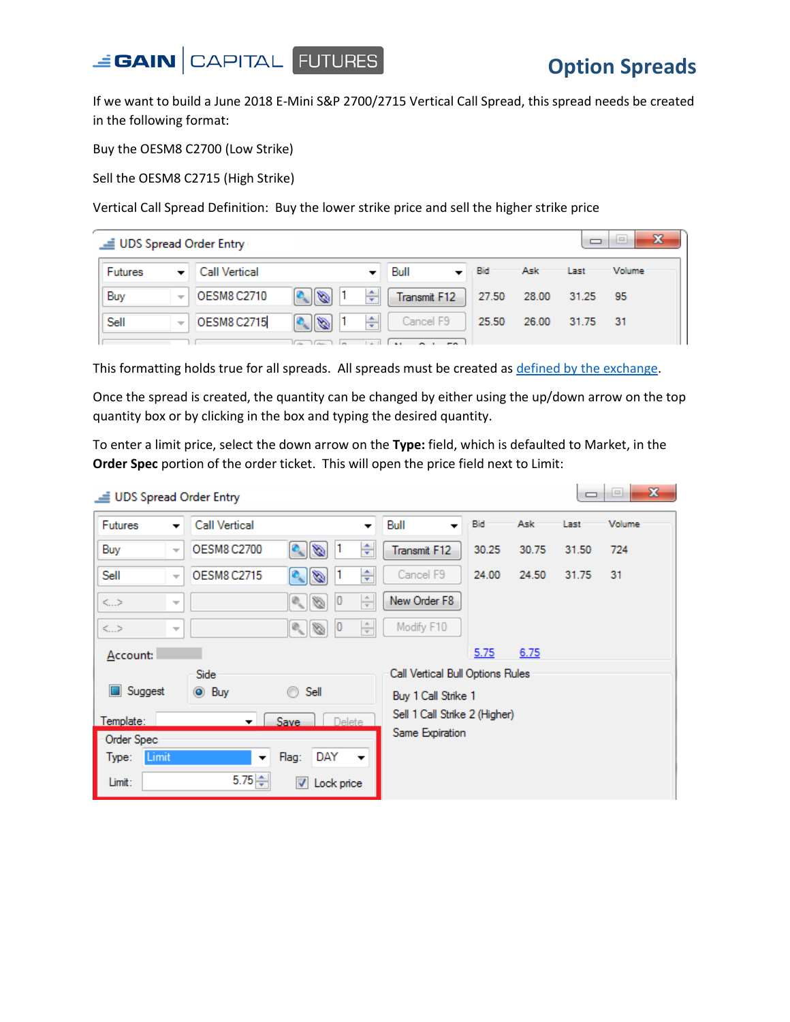

 $\overline{\phantom{a}}$ 

If we want to build a June 2018 E-Mini S&P 2700/2715 Vertical Call Spread, this spread needs be created in the following format:

Buy the OESM8 C2700 (Low Strike)

Sell the OESM8 C2715 (High Strike)

Vertical Call Spread Definition: Buy the lower strike price and sell the higher strike price

|                | UDS Spread Order Entry   |                    |                      |    |              |         |                      |          |               |  |  |  |
|----------------|--------------------------|--------------------|----------------------|----|--------------|---------|----------------------|----------|---------------|--|--|--|
| <b>Futures</b> | ▼                        | Call Vertical      |                      |    | Bull         | $-$ Bid | Ask                  | Last     | <b>Volume</b> |  |  |  |
| Buy            | $\overline{\psi}$        | <b>OESM8 C2710</b> | $\mathscr{A}$        | 싂  | Transmit F12 |         | 27.50 28.00 31.25 95 |          |               |  |  |  |
| Sell           | $\overline{\mathcal{R}}$ | <b>OESM8 C2715</b> | $\frac{1}{\sqrt{2}}$ | ÷۱ | Cancel F9    | 25.50   | 26.00                | 31.75 31 |               |  |  |  |
|                |                          |                    |                      |    |              |         |                      |          |               |  |  |  |

This formatting holds true for all spreads. All spreads must be created as [defined by the exchange.](#page-7-0)

Once the spread is created, the quantity can be changed by either using the up/down arrow on the top quantity box or by clicking in the box and typing the desired quantity.

To enter a limit price, select the down arrow on the **Type:** field, which is defaulted to Market, in the **Order Spec** portion of the order ticket. This will open the price field next to Limit:

| UDS Spread Order Entry       |                          |                          |                                                                                |                          |                                  |       |                  |       | --<br>$\sim$ |
|------------------------------|--------------------------|--------------------------|--------------------------------------------------------------------------------|--------------------------|----------------------------------|-------|------------------|-------|--------------|
| <b>Futures</b>               | ▼                        | <b>Call Vertical</b>     |                                                                                | $\overline{\phantom{a}}$ | Bull                             | Bid   | Ask <sup>-</sup> | Last  | Volume       |
| Buy                          | $\overline{\psi}$        | <b>OESM8 C2700</b>       | $\frac{1}{\sqrt{2}}$<br>1                                                      | ÷                        | Transmit F12                     | 30.25 | 30.75            | 31.50 | 724          |
| Sell                         | $\overline{\phantom{a}}$ | <b>OESM8 C2715</b>       | 1<br>Q<br>Ó                                                                    | ÷                        | Cancel F9                        | 24.00 | 24.50            | 31.75 | $-31$        |
| <>                           | $\overline{\mathcal{M}}$ |                          | 0 <br>Ø<br>$\langle \vert \Phi_{\!\scriptscriptstyle (\!\chi\!)}\vert \rangle$ | $\frac{\triangle}{\tau}$ | New Order F8                     |       |                  |       |              |
| $\left\langle \right\rangle$ | $\overline{\phantom{a}}$ |                          | $\sim$ $\sim$<br> 0                                                            | $\frac{\triangle}{\tau}$ | Modify F10                       |       |                  |       |              |
| Account:                     |                          |                          |                                                                                |                          |                                  | 5.75  | 6.75             |       |              |
|                              |                          | Side                     |                                                                                |                          | Call Vertical Bull Options Rules |       |                  |       |              |
| Suggest                      |                          | $\odot$ Buy              | Sell<br>$\circledcirc$                                                         |                          | Buy 1 Call Strike 1              |       |                  |       |              |
| Template:                    |                          | $\mathbf{v}$             | Save<br><b>Delete</b>                                                          |                          | Sell 1 Call Strike 2 (Higher)    |       |                  |       |              |
| Order Spec                   |                          |                          |                                                                                |                          | Same Expiration                  |       |                  |       |              |
| Limit<br>Type:               |                          | $\overline{\phantom{a}}$ | DAY<br>Flag:                                                                   | $\overline{\phantom{a}}$ |                                  |       |                  |       |              |
| Limit:                       |                          | $5.75 \div$              | $\blacktriangledown$<br>Lock price                                             |                          |                                  |       |                  |       |              |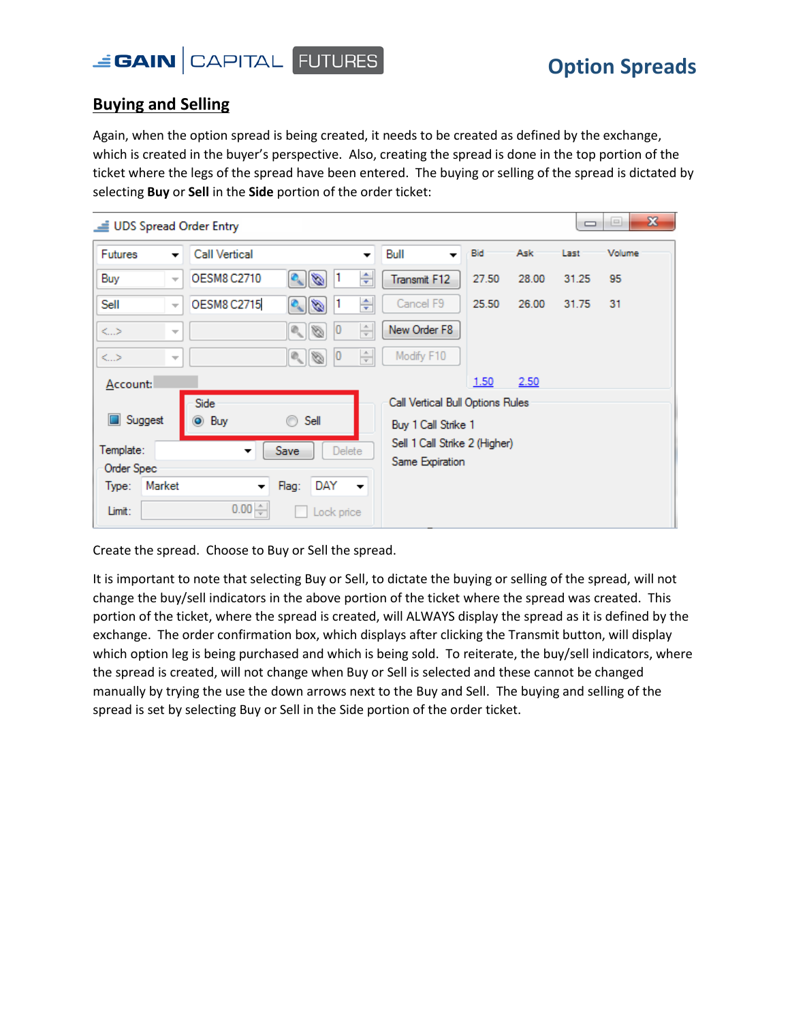

### **Buying and Selling**

Again, when the option spread is being created, it needs to be created as defined by the exchange, which is created in the buyer's perspective. Also, creating the spread is done in the top portion of the ticket where the legs of the spread have been entered. The buying or selling of the spread is dictated by selecting **Buy** or **Sell** in the **Side** portion of the order ticket:

| UDS Spread Order Entry |                          |                          |                                          |                          |                                  |       |       | $\qquad \qquad \Box$ | $\mathbf{x}$<br>$=$ |
|------------------------|--------------------------|--------------------------|------------------------------------------|--------------------------|----------------------------------|-------|-------|----------------------|---------------------|
| Futures                | $\overline{\phantom{a}}$ | <b>Call Vertical</b>     |                                          | ▼                        | Bull                             | Bid   | Ask   | Last                 | Volume              |
| Buy                    | $\overline{\psi}$        | <b>OESM8 C2710</b>       | $\frac{1}{\sqrt{2}}$<br>1                | ÷                        | Transmit F12                     | 27.50 | 28.00 | 31.25                | 95                  |
| Sell                   | $\overline{\psi}$        | <b>OESM8 C2715</b>       | 1<br>$\frac{1}{\sqrt{2}}$                | ÷                        | Cancel F9                        | 25.50 | 26.00 | 31.75                | 31                  |
| $\leq$ >               | $\overline{\phantom{a}}$ |                          | 0 <br>$\sim$                             | $\frac{\triangle}{\tau}$ | New Order F8                     |       |       |                      |                     |
| <>                     | $\overline{\phantom{a}}$ |                          | $\sim$<br> 0                             | $\frac{\triangle}{\tau}$ | Modify F10                       |       |       |                      |                     |
| Account:               |                          |                          |                                          |                          |                                  | 1.50  | 2.50  |                      |                     |
|                        |                          | Side                     |                                          |                          | Call Vertical Bull Options Rules |       |       |                      |                     |
| Suggest                |                          | <b>◎ Buy</b>             | Sell                                     |                          | Buy 1 Call Strike 1              |       |       |                      |                     |
| Template:              |                          | ▼                        | Delete<br>Save                           |                          | Sell 1 Call Strike 2 (Higher)    |       |       |                      |                     |
| Order Spec             |                          |                          |                                          |                          | Same Expiration                  |       |       |                      |                     |
| Market<br>Type:        |                          | $\overline{\phantom{a}}$ | DAY<br>Flag:<br>$\overline{\phantom{a}}$ |                          |                                  |       |       |                      |                     |
| Limit:                 |                          | $0.00 -$                 | Lock price                               |                          |                                  |       |       |                      |                     |

Create the spread. Choose to Buy or Sell the spread.

It is important to note that selecting Buy or Sell, to dictate the buying or selling of the spread, will not change the buy/sell indicators in the above portion of the ticket where the spread was created. This portion of the ticket, where the spread is created, will ALWAYS display the spread as it is defined by the exchange. The order confirmation box, which displays after clicking the Transmit button, will display which option leg is being purchased and which is being sold. To reiterate, the buy/sell indicators, where the spread is created, will not change when Buy or Sell is selected and these cannot be changed manually by trying the use the down arrows next to the Buy and Sell. The buying and selling of the spread is set by selecting Buy or Sell in the Side portion of the order ticket.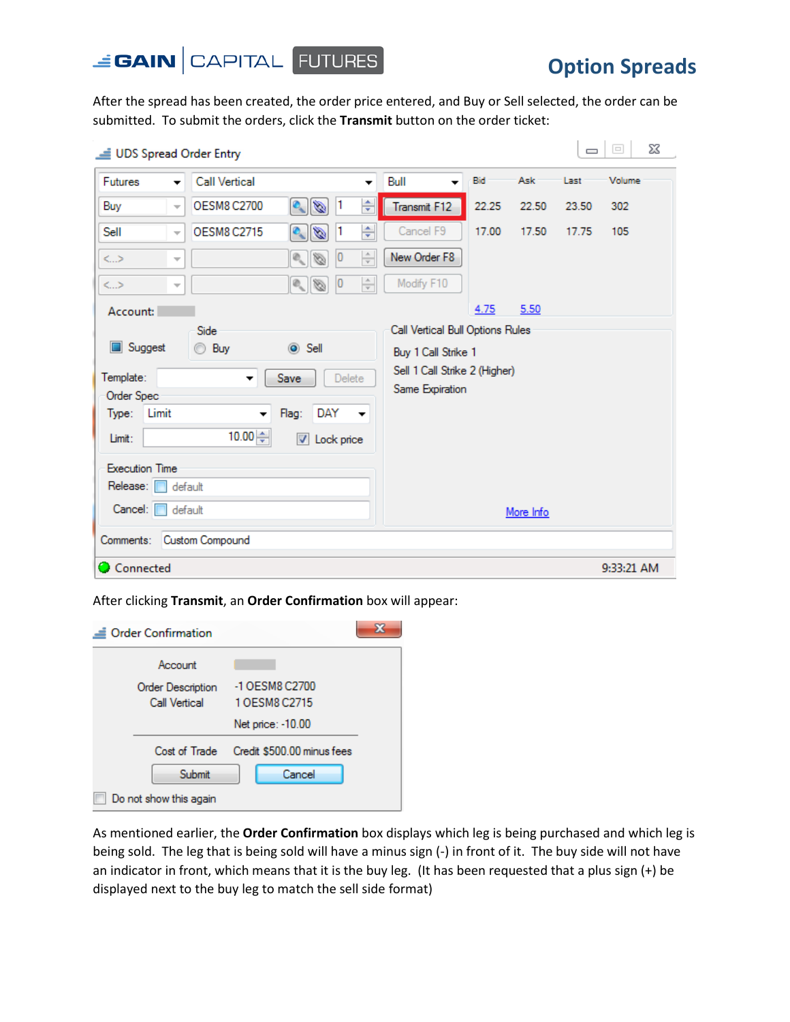

After the spread has been created, the order price entered, and Buy or Sell selected, the order can be submitted. To submit the orders, click the **Transmit** button on the order ticket:

| Futures               | <b>Call Vertical</b><br>▼                      |                                       | $\overline{\phantom{a}}$ | Bull<br>$\overline{\phantom{a}}$ | Bid   | Ask       | Last  | Volume     |
|-----------------------|------------------------------------------------|---------------------------------------|--------------------------|----------------------------------|-------|-----------|-------|------------|
| Buy                   | <b>OESM8 C2700</b><br>$\overline{\mathbf{v}}$  | $\frac{1}{\sqrt{2}}$<br>11            | ÷                        | Transmit F12                     | 22.25 | 22.50     | 23.50 | 302        |
| Sell                  | <b>OESM8 C2715</b><br>$\overline{\phantom{a}}$ | 1<br>Ø                                | ÷                        | Cancel F9                        | 17.00 | 17.50     | 17.75 | 105        |
| $\rm{<}$ $\rm{>}$     | $\overline{\phantom{a}}$                       | 0 <br>$(\widehat{\mathbb{Q}}_n)$<br>Ø | $\frac{\triangle}{\tau}$ | New Order F8                     |       |           |       |            |
| $\rm{L}>$             | $\overline{\phantom{a}}$                       | 0 <br>$\mathbb{Q}_n$<br>Ø             | $\frac{\Delta}{T}$       | Modify F10                       |       |           |       |            |
| Account:              |                                                |                                       |                          |                                  | 4.75  | 5.50      |       |            |
|                       | Side                                           |                                       |                          | Call Vertical Bull Options Rules |       |           |       |            |
| Suggest               | ◯ Buy                                          | $\odot$ Sell                          |                          | Buy 1 Call Strike 1              |       |           |       |            |
| Template:             | $\blacktriangledown$                           | Delete<br>Save                        |                          | Sell 1 Call Strike 2 (Higher)    |       |           |       |            |
| Order Spec            |                                                |                                       |                          | Same Expiration                  |       |           |       |            |
| Type:<br>Limit        | ▼                                              | Flag:<br>DAY                          | $\overline{\phantom{a}}$ |                                  |       |           |       |            |
| Limit:                | 10.00 $\Leftrightarrow$                        | Lock price<br>⊽                       |                          |                                  |       |           |       |            |
| <b>Execution Time</b> |                                                |                                       |                          |                                  |       |           |       |            |
| Release:              | default                                        |                                       |                          |                                  |       |           |       |            |
| Cancel:               | default                                        |                                       |                          |                                  |       | More Info |       |            |
| Comments:             | Custom Compound                                |                                       |                          |                                  |       |           |       |            |
| Connected             |                                                |                                       |                          |                                  |       |           |       | 9:33:21 AM |

After clicking **Transmit**, an **Order Confirmation** box will appear:

| <b>Order Confirmation</b> |                            |  |
|---------------------------|----------------------------|--|
| Account                   |                            |  |
| <b>Order Description</b>  | -1 OESM8 C2700             |  |
| <b>Call Vertical</b>      | 1 OESM8 C2715              |  |
|                           | Net price: -10.00          |  |
| Cost of Trade             | Credit \$500.00 minus fees |  |
| Submit                    | Cancel                     |  |
| Do not show this again    |                            |  |

As mentioned earlier, the **Order Confirmation** box displays which leg is being purchased and which leg is being sold. The leg that is being sold will have a minus sign (-) in front of it. The buy side will not have an indicator in front, which means that it is the buy leg. (It has been requested that a plus sign (+) be displayed next to the buy leg to match the sell side format)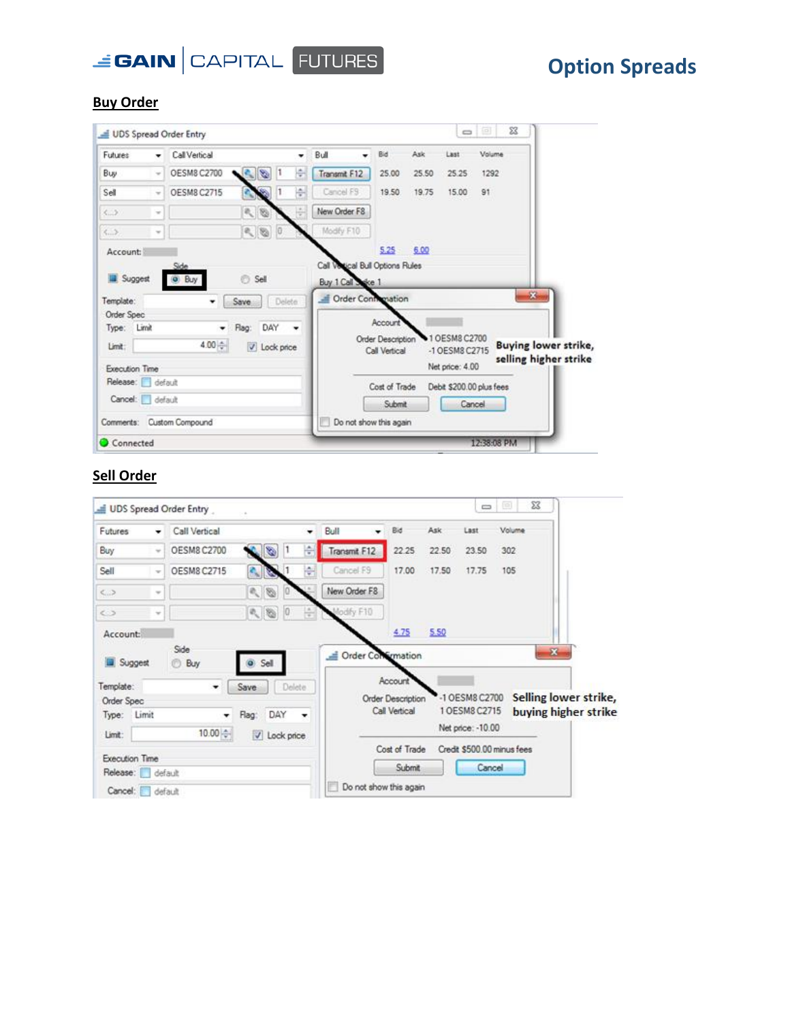

### **Buy Order**

| <b>Futures</b>              | ٠                        | Call Vertical             |               | ٠             | Bull                            | Bid                    | Ask   | Last            | Volume                   |                             |
|-----------------------------|--------------------------|---------------------------|---------------|---------------|---------------------------------|------------------------|-------|-----------------|--------------------------|-----------------------------|
|                             |                          |                           |               |               |                                 |                        |       |                 |                          |                             |
| Buy                         | $\overline{\phantom{a}}$ | OESM8 C2700               | ø<br>п        | ÷             | Transmit F12                    | 25.00                  | 25.50 | 25.25           | 1292                     |                             |
| Sell                        | $\sim$                   | <b>OESM8 C2715</b>        |               | 囹             | Cancel F9                       | 19.50                  | 19.75 | 15.00           | 91                       |                             |
| 4.2                         | $\rightarrow$            |                           | $\mathcal{O}$ | $\frac{1}{2}$ | New Order F8                    |                        |       |                 |                          |                             |
| $\langle  \rangle$          | w                        |                           | 0 (8)         |               | Modify F10                      |                        |       |                 |                          |                             |
| Account:                    |                          |                           |               |               |                                 | 5.25                   | 6.00  |                 |                          |                             |
|                             |                          | Side                      |               |               | Call Votical Bull Options Rules |                        |       |                 |                          |                             |
| Suggest                     |                          |                           |               |               |                                 |                        |       |                 |                          |                             |
|                             |                          | o Buy                     | Sell          |               | Buy 1 Call Sake 1               |                        |       |                 |                          |                             |
|                             |                          |                           | Save          | Delete.       | Crder Confrienation             |                        |       |                 |                          | 器                           |
| Order Spec                  |                          |                           |               |               |                                 |                        |       |                 |                          |                             |
| Type: Limit                 |                          | ۰                         | DAY<br>Flag:  | ٠             |                                 | Account                |       |                 |                          |                             |
| Limit:                      |                          | 4.00 ÷                    | V Lock price  |               |                                 | Order Description      |       | 10ESM8 C2700    |                          | <b>Buying lower strike,</b> |
|                             |                          |                           |               |               |                                 | Call Vertical          |       | -1 OESM8 C2715  |                          | selling higher strike       |
| Template:<br>Execution Time |                          |                           |               |               |                                 |                        |       | Net price: 4.00 |                          |                             |
| Release: default            |                          |                           |               |               |                                 | Cost of Trade          |       |                 | Debit \$200.00 plus fees |                             |
| Cancel: default             |                          |                           |               |               |                                 | Submit                 |       | Cancel          |                          |                             |
|                             |                          | Comments: Custom Compound |               |               |                                 | Do not show this again |       |                 |                          |                             |

### **Sell Order**

|                                               |               | UDS Spread Order Entry |                   |         |               |                        |                                                      |       | U                               |                            | $\Sigma$                                      |
|-----------------------------------------------|---------------|------------------------|-------------------|---------|---------------|------------------------|------------------------------------------------------|-------|---------------------------------|----------------------------|-----------------------------------------------|
| Futures                                       | ۰             | Call Vertical          |                   |         | ۰             | Bull                   | Bid                                                  | Ask   | Last                            | Volume                     |                                               |
| Buy                                           | $\sim$        | <b>OESM8 C2700</b>     | ۷                 | п       | 슧             | Transmit F12           | 22.25                                                | 22.50 | 23.50                           | 302                        |                                               |
| Sell                                          | $\mathcal{M}$ | OESM8 C2715            |                   |         | 杂             | Cancel F9              | 17.00                                                | 17.50 | 17.75                           | 105                        |                                               |
| $\leq$ >                                      | $\sim$        |                        | $\mathcal{O}$     |         |               | New Order F8           |                                                      |       |                                 |                            |                                               |
| $\leftrightarrow$                             | $\sim$        |                        | 0.800             |         | $\frac{1}{2}$ | lodfy F10              |                                                      |       |                                 |                            |                                               |
| Account:<br><b>E</b> Suggest                  |               | Side<br>Buy<br>O       | Sell              |         |               | Crder Commation        | 4.75                                                 | 5.50  |                                 |                            | $\mathbf{z}$                                  |
| Template:<br>Order Spec<br>Type: Limit        |               | ۰                      | Save<br>Flag: DAY | Delete: | ۰             |                        | Account<br><b>Order Description</b><br>Call Vertical |       | -1 OESM8 C2700<br>1 OESM8 C2715 |                            | Selling lower strike,<br>buying higher strike |
| Limit:                                        |               | $10.00 +$              | V Lock price      |         |               |                        | Cost of Trade                                        |       | Net price: - 10.00              | Credit \$500.00 minus fees |                                               |
| Execution Time<br>Release: default<br>Cancel: |               | default                |                   |         |               | Do not show this again | Submit                                               |       | Cancel                          |                            |                                               |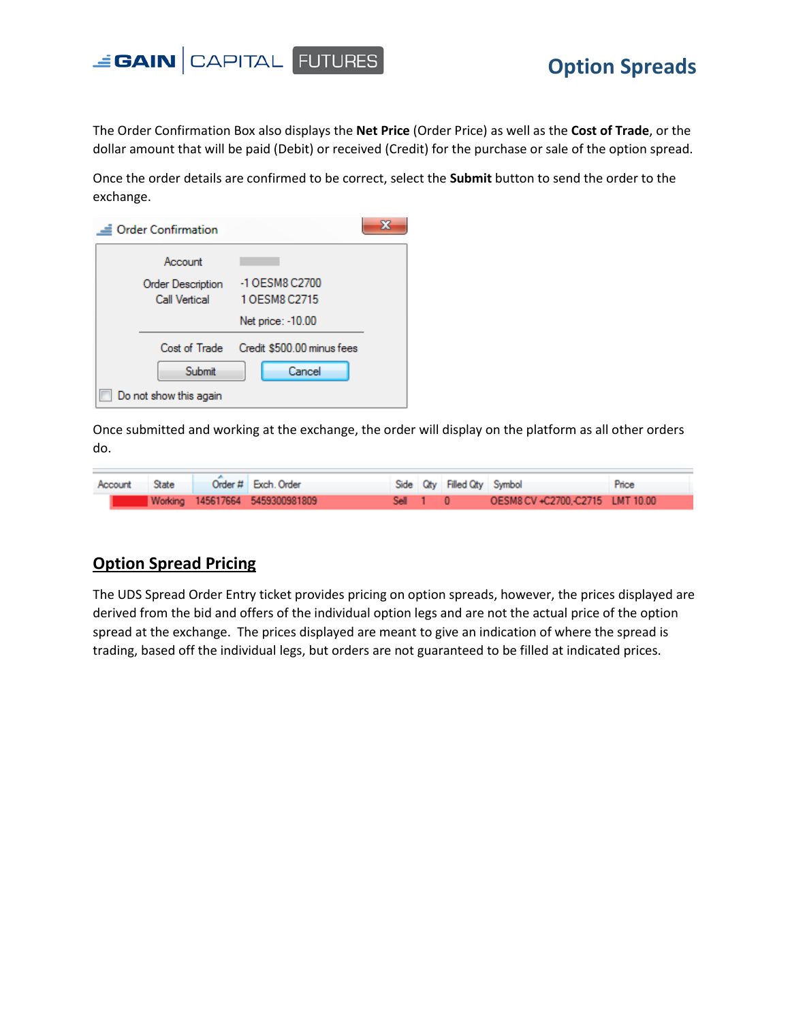

The Order Confirmation Box also displays the **Net Price** (Order Price) as well as the **Cost of Trade**, or the dollar amount that will be paid (Debit) or received (Credit) for the purchase or sale of the option spread.

Once the order details are confirmed to be correct, select the **Submit** button to send the order to the exchange.

| <b>Order Confirmation</b>                 |                                 |  |
|-------------------------------------------|---------------------------------|--|
| Account                                   |                                 |  |
| Order Description<br><b>Call Vertical</b> | -1 OESM8 C2700<br>1 OFSM8 C2715 |  |
|                                           | Net price: -10.00               |  |
| Cost of Trade                             | Credit \$500.00 minus fees      |  |
| Submit                                    | Cancel                          |  |
| Do not show this again                    |                                 |  |

Once submitted and working at the exchange, the order will display on the platform as all other orders do.

| Account State |  | Order # Exch. Order             |          | Side City Filled City Symbol |                                  | Price |
|---------------|--|---------------------------------|----------|------------------------------|----------------------------------|-------|
|               |  | Working 145617664 5459300981809 | Sell 1 0 |                              | OESM8 CV +C2700.-C2715 LMT 10.00 |       |

### **Option Spread Pricing**

The UDS Spread Order Entry ticket provides pricing on option spreads, however, the prices displayed are derived from the bid and offers of the individual option legs and are not the actual price of the option spread at the exchange. The prices displayed are meant to give an indication of where the spread is trading, based off the individual legs, but orders are not guaranteed to be filled at indicated prices.